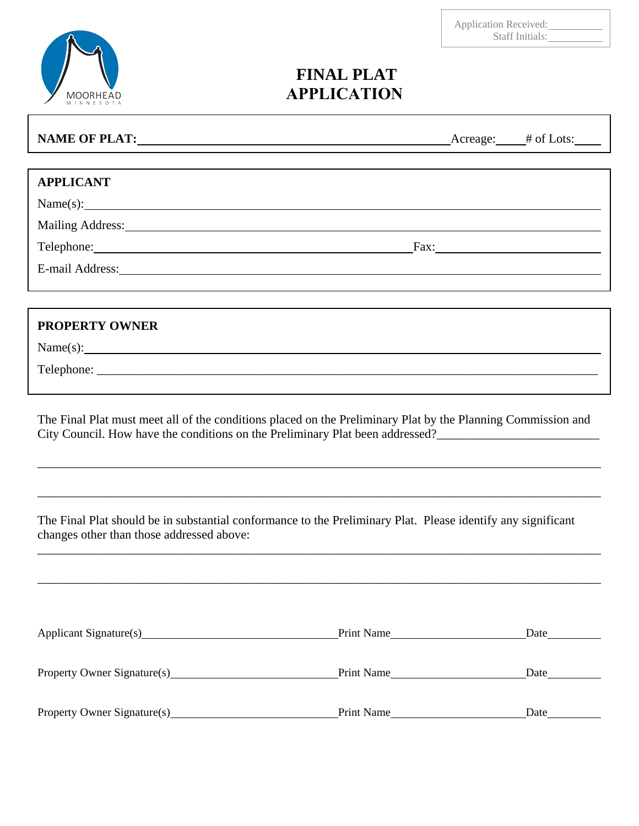| MOORHEAD<br>NNESOTA<br>M<br>$\pm$ |
|-----------------------------------|

 $\lceil$ 

1

## **FINAL PLAT APPLICATION**

| NAME OF PLAT: NAME OF PLATING CONTINUES.                                                                                                                                                                                    | $\text{Average:}$ # of Lots: |
|-----------------------------------------------------------------------------------------------------------------------------------------------------------------------------------------------------------------------------|------------------------------|
|                                                                                                                                                                                                                             |                              |
| <b>APPLICANT</b>                                                                                                                                                                                                            |                              |
| $Name(s):$ $\qquad \qquad$                                                                                                                                                                                                  |                              |
|                                                                                                                                                                                                                             |                              |
| Telephone: Fax: Fax:                                                                                                                                                                                                        |                              |
| E-mail Address: Note and Address:                                                                                                                                                                                           |                              |
|                                                                                                                                                                                                                             |                              |
| <b>PROPERTY OWNER</b>                                                                                                                                                                                                       |                              |
| $Name(s):$ $\qquad \qquad$                                                                                                                                                                                                  |                              |
|                                                                                                                                                                                                                             |                              |
| The Final Plat must meet all of the conditions placed on the Preliminary Plat by the Planning Commission and<br>City Council. How have the conditions on the Preliminary Plat been addressed?<br><u>Letter Addressed</u> 2. |                              |
|                                                                                                                                                                                                                             |                              |
|                                                                                                                                                                                                                             |                              |

The Final Plat should be in substantial conformance to the Preliminary Plat. Please identify any significant changes other than those addressed above: \_\_\_\_\_\_\_\_\_\_\_\_\_\_\_\_\_\_\_\_\_\_\_\_\_\_\_\_\_\_\_\_\_\_\_\_\_\_\_\_\_\_\_\_\_\_\_\_\_\_\_\_\_\_\_\_\_\_\_\_\_\_\_\_\_\_\_\_\_\_\_\_\_\_\_\_\_\_\_\_\_\_\_\_\_\_\_\_\_\_

\_\_\_\_\_\_\_\_\_\_\_\_\_\_\_\_\_\_\_\_\_\_\_\_\_\_\_\_\_\_\_\_\_\_\_\_\_\_\_\_\_\_\_\_\_\_\_\_\_\_\_\_\_\_\_\_\_\_\_\_\_\_\_\_\_\_\_\_\_\_\_\_\_\_\_\_\_\_\_\_\_\_\_\_\_\_\_\_\_\_

\_\_\_\_\_\_\_\_\_\_\_\_\_\_\_\_\_\_\_\_\_\_\_\_\_\_\_\_\_\_\_\_\_\_\_\_\_\_\_\_\_\_\_\_\_\_\_\_\_\_\_\_\_\_\_\_\_\_\_\_\_\_\_\_\_\_\_\_\_\_\_\_\_\_\_\_\_\_\_\_\_\_\_\_\_\_\_\_\_\_

| Applicant Signature(s)      | Print Name | Date |
|-----------------------------|------------|------|
| Property Owner Signature(s) | Print Name | Date |
| Property Owner Signature(s) | Print Name | Date |